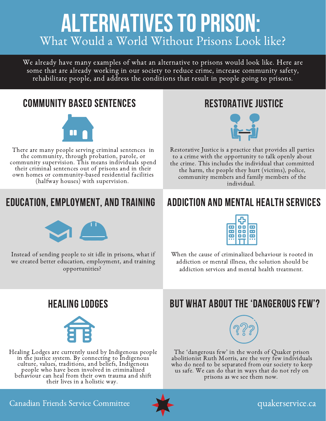# **ALTERNATIVES TO PRISON:** What Would a World Without Prisons Look like?

We already have many examples of what an alternative to prisons would look like. Here are some that are already working in our society to reduce crime, increase community safety, rehabilitate people, and address the conditions that result in people going to prisons.

# COMMUNITY BASED SENTENCES



There are many people serving criminal sentences in the community, through probation, parole, or community supervision. This means individuals spend their criminal sentences out of prisons and in their own homes or community-based residential facilities (halfway houses) with supervision.





Restorative Justice is a practice that provides all parties to a crime with the opportunity to talk openly about the crime. This includes the individual that committed the harm, the people they hurt (victims), police, community members and family members of the individual.



Instead of sending people to sit idle in prisons, what if we created better education, employment, and training opportunities?

# EDUCATION, EMPLOYMENT, AND TRAINING ADDICTION AND MENTAL HEALTH SERVICES



When the cause of criminalized behaviour is rooted in addiction or mental illness, the solution should be addiction services and mental health treatment.



Healing Lodges are currently used by Indigenous people aling houges are earrestry ased by indigenous peep culture, values, traditions, and beliefs, Indigenous people who have been involved in criminalized behaviour can heal from their own trauma and shift their lives in a holistic way.

# HEALING LODGES BUT WHAT ABOUT THE 'DANGEROUS FEW'?



The 'dangerous few' in the words of Quaker prison abolitionist Ruth Morris, are the very few individuals who do need to be separated from our society to keep us safe. We can do that in ways that do not rely on prisons as we see them now.

Canadian Friends Service Committee



# quakerservice.ca